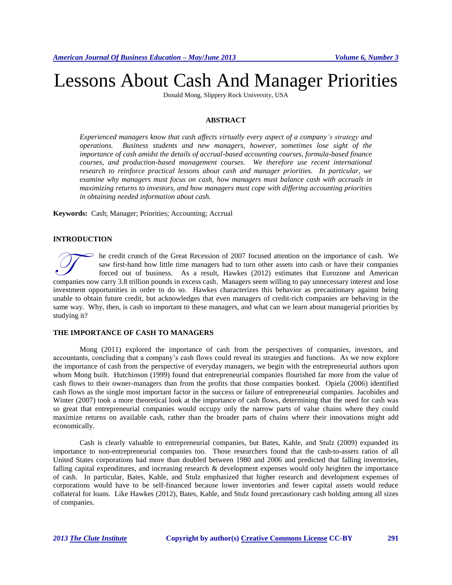# Lessons About Cash And Manager Priorities

Donald Mong, Slippery Rock University, USA

## **ABSTRACT**

*Experienced managers know that cash affects virtually every aspect of a company's strategy and operations. Business students and new managers, however, sometimes lose sight of the importance of cash amidst the details of accrual-based accounting courses, formula-based finance courses, and production-based management courses. We therefore use recent international research to reinforce practical lessons about cash and manager priorities. In particular, we examine why managers must focus on cash, how managers must balance cash with accruals in maximizing returns to investors, and how managers must cope with differing accounting priorities in obtaining needed information about cash.*

**Keywords:** Cash; Manager; Priorities; Accounting; Accrual

#### **INTRODUCTION**

he credit crunch of the Great Recession of 2007 focused attention on the importance of cash. We saw first-hand how little time managers had to turn other assets into cash or have their companies forced out of business. As a result, Hawkes (2012) estimates that Eurozone and American The credit crunch of the Great Recession of 2007 focused attention on the importance of cash. We saw first-hand how little time managers had to turn other assets into cash or have their companies forced out of business. As investment opportunities in order to do so. Hawkes characterizes this behavior as precautionary against being unable to obtain future credit, but acknowledges that even managers of credit-rich companies are behaving in the same way. Why, then, is cash so important to these managers, and what can we learn about managerial priorities by studying it?

## **THE IMPORTANCE OF CASH TO MANAGERS**

Mong (2011) explored the importance of cash from the perspectives of companies, investors, and accountants, concluding that a company's cash flows could reveal its strategies and functions. As we now explore the importance of cash from the perspective of everyday managers, we begin with the entrepreneurial authors upon whom Mong built. Hutchinson (1999) found that entrepreneurial companies flourished far more from the value of cash flows to their owner-managers than from the profits that those companies booked. Opiela (2006) identified cash flows as the single most important factor in the success or failure of entrepreneurial companies. Jacobides and Winter (2007) took a more theoretical look at the importance of cash flows, determining that the need for cash was so great that entrepreneurial companies would occupy only the narrow parts of value chains where they could maximize returns on available cash, rather than the broader parts of chains where their innovations might add economically.

Cash is clearly valuable to entrepreneurial companies, but Bates, Kahle, and Stulz (2009) expanded its importance to non-entrepreneurial companies too. Those researchers found that the cash-to-assets ratios of all United States corporations had more than doubled between 1980 and 2006 and predicted that falling inventories, falling capital expenditures, and increasing research & development expenses would only heighten the importance of cash. In particular, Bates, Kahle, and Stulz emphasized that higher research and development expenses of corporations would have to be self-financed because lower inventories and fewer capital assets would reduce collateral for loans. Like Hawkes (2012), Bates, Kahle, and Stulz found precautionary cash holding among all sizes of companies.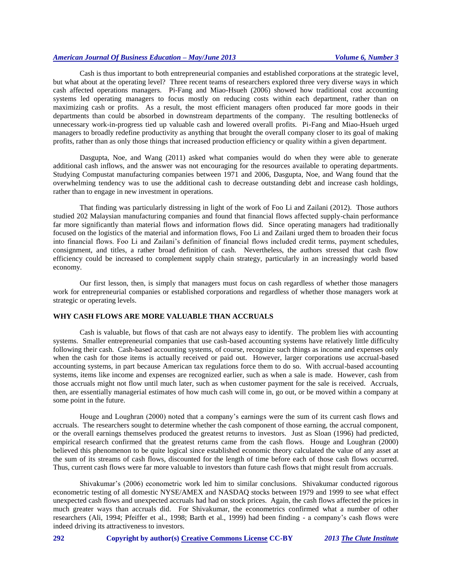Cash is thus important to both entrepreneurial companies and established corporations at the strategic level, but what about at the operating level? Three recent teams of researchers explored three very diverse ways in which cash affected operations managers. Pi-Fang and Miao-Hsueh (2006) showed how traditional cost accounting systems led operating managers to focus mostly on reducing costs within each department, rather than on maximizing cash or profits. As a result, the most efficient managers often produced far more goods in their departments than could be absorbed in downstream departments of the company. The resulting bottlenecks of unnecessary work-in-progress tied up valuable cash and lowered overall profits. Pi-Fang and Miao-Hsueh urged managers to broadly redefine productivity as anything that brought the overall company closer to its goal of making profits, rather than as only those things that increased production efficiency or quality within a given department.

Dasgupta, Noe, and Wang (2011) asked what companies would do when they were able to generate additional cash inflows, and the answer was not encouraging for the resources available to operating departments. Studying Compustat manufacturing companies between 1971 and 2006, Dasgupta, Noe, and Wang found that the overwhelming tendency was to use the additional cash to decrease outstanding debt and increase cash holdings, rather than to engage in new investment in operations.

That finding was particularly distressing in light of the work of Foo Li and Zailani (2012). Those authors studied 202 Malaysian manufacturing companies and found that financial flows affected supply-chain performance far more significantly than material flows and information flows did. Since operating managers had traditionally focused on the logistics of the material and information flows, Foo Li and Zailani urged them to broaden their focus into financial flows. Foo Li and Zailani's definition of financial flows included credit terms, payment schedules, consignment, and titles, a rather broad definition of cash. Nevertheless, the authors stressed that cash flow efficiency could be increased to complement supply chain strategy, particularly in an increasingly world based economy.

Our first lesson, then, is simply that managers must focus on cash regardless of whether those managers work for entrepreneurial companies or established corporations and regardless of whether those managers work at strategic or operating levels.

# **WHY CASH FLOWS ARE MORE VALUABLE THAN ACCRUALS**

Cash is valuable, but flows of that cash are not always easy to identify. The problem lies with accounting systems. Smaller entrepreneurial companies that use cash-based accounting systems have relatively little difficulty following their cash. Cash-based accounting systems, of course, recognize such things as income and expenses only when the cash for those items is actually received or paid out. However, larger corporations use accrual-based accounting systems, in part because American tax regulations force them to do so. With accrual-based accounting systems, items like income and expenses are recognized earlier, such as when a sale is made. However, cash from those accruals might not flow until much later, such as when customer payment for the sale is received. Accruals, then, are essentially managerial estimates of how much cash will come in, go out, or be moved within a company at some point in the future.

Houge and Loughran (2000) noted that a company's earnings were the sum of its current cash flows and accruals. The researchers sought to determine whether the cash component of those earning, the accrual component, or the overall earnings themselves produced the greatest returns to investors. Just as Sloan (1996) had predicted, empirical research confirmed that the greatest returns came from the cash flows. Houge and Loughran (2000) believed this phenomenon to be quite logical since established economic theory calculated the value of any asset at the sum of its streams of cash flows, discounted for the length of time before each of those cash flows occurred. Thus, current cash flows were far more valuable to investors than future cash flows that might result from accruals.

Shivakumar's (2006) econometric work led him to similar conclusions. Shivakumar conducted rigorous econometric testing of all domestic NYSE/AMEX and NASDAQ stocks between 1979 and 1999 to see what effect unexpected cash flows and unexpected accruals had had on stock prices. Again, the cash flows affected the prices in much greater ways than accruals did. For Shivakumar, the econometrics confirmed what a number of other researchers (Ali, 1994; Pfeiffer et al., 1998; Barth et al., 1999) had been finding - a company's cash flows were indeed driving its attractiveness to investors.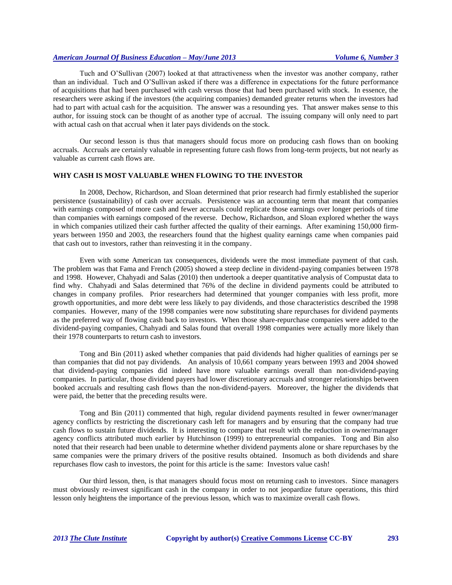Tuch and O'Sullivan (2007) looked at that attractiveness when the investor was another company, rather than an individual. Tuch and O'Sullivan asked if there was a difference in expectations for the future performance of acquisitions that had been purchased with cash versus those that had been purchased with stock. In essence, the researchers were asking if the investors (the acquiring companies) demanded greater returns when the investors had had to part with actual cash for the acquisition. The answer was a resounding yes. That answer makes sense to this author, for issuing stock can be thought of as another type of accrual. The issuing company will only need to part with actual cash on that accrual when it later pays dividends on the stock.

Our second lesson is thus that managers should focus more on producing cash flows than on booking accruals. Accruals are certainly valuable in representing future cash flows from long-term projects, but not nearly as valuable as current cash flows are.

#### **WHY CASH IS MOST VALUABLE WHEN FLOWING TO THE INVESTOR**

In 2008, Dechow, Richardson, and Sloan determined that prior research had firmly established the superior persistence (sustainability) of cash over accruals. Persistence was an accounting term that meant that companies with earnings composed of more cash and fewer accruals could replicate those earnings over longer periods of time than companies with earnings composed of the reverse. Dechow, Richardson, and Sloan explored whether the ways in which companies utilized their cash further affected the quality of their earnings. After examining 150,000 firmyears between 1950 and 2003, the researchers found that the highest quality earnings came when companies paid that cash out to investors, rather than reinvesting it in the company.

Even with some American tax consequences, dividends were the most immediate payment of that cash. The problem was that Fama and French (2005) showed a steep decline in dividend-paying companies between 1978 and 1998. However, Chahyadi and Salas (2010) then undertook a deeper quantitative analysis of Compustat data to find why. Chahyadi and Salas determined that 76% of the decline in dividend payments could be attributed to changes in company profiles. Prior researchers had determined that younger companies with less profit, more growth opportunities, and more debt were less likely to pay dividends, and those characteristics described the 1998 companies. However, many of the 1998 companies were now substituting share repurchases for dividend payments as the preferred way of flowing cash back to investors. When those share-repurchase companies were added to the dividend-paying companies, Chahyadi and Salas found that overall 1998 companies were actually more likely than their 1978 counterparts to return cash to investors.

Tong and Bin (2011) asked whether companies that paid dividends had higher qualities of earnings per se than companies that did not pay dividends. An analysis of 10,661 company years between 1993 and 2004 showed that dividend-paying companies did indeed have more valuable earnings overall than non-dividend-paying companies. In particular, those dividend payers had lower discretionary accruals and stronger relationships between booked accruals and resulting cash flows than the non-dividend-payers. Moreover, the higher the dividends that were paid, the better that the preceding results were.

Tong and Bin (2011) commented that high, regular dividend payments resulted in fewer owner/manager agency conflicts by restricting the discretionary cash left for managers and by ensuring that the company had true cash flows to sustain future dividends. It is interesting to compare that result with the reduction in owner/manager agency conflicts attributed much earlier by Hutchinson (1999) to entrepreneurial companies. Tong and Bin also noted that their research had been unable to determine whether dividend payments alone or share repurchases by the same companies were the primary drivers of the positive results obtained. Insomuch as both dividends and share repurchases flow cash to investors, the point for this article is the same: Investors value cash!

Our third lesson, then, is that managers should focus most on returning cash to investors. Since managers must obviously re-invest significant cash in the company in order to not jeopardize future operations, this third lesson only heightens the importance of the previous lesson, which was to maximize overall cash flows.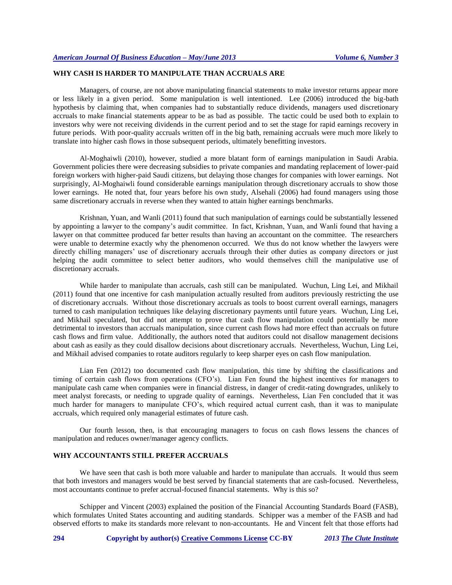# **WHY CASH IS HARDER TO MANIPULATE THAN ACCRUALS ARE**

Managers, of course, are not above manipulating financial statements to make investor returns appear more or less likely in a given period. Some manipulation is well intentioned. Lee (2006) introduced the big-bath hypothesis by claiming that, when companies had to substantially reduce dividends, managers used discretionary accruals to make financial statements appear to be as bad as possible. The tactic could be used both to explain to investors why were not receiving dividends in the current period and to set the stage for rapid earnings recovery in future periods. With poor-quality accruals written off in the big bath, remaining accruals were much more likely to translate into higher cash flows in those subsequent periods, ultimately benefitting investors.

Al-Moghaiwli (2010), however, studied a more blatant form of earnings manipulation in Saudi Arabia. Government policies there were decreasing subsidies to private companies and mandating replacement of lower-paid foreign workers with higher-paid Saudi citizens, but delaying those changes for companies with lower earnings. Not surprisingly, Al-Moghaiwli found considerable earnings manipulation through discretionary accruals to show those lower earnings. He noted that, four years before his own study, Alsehali (2006) had found managers using those same discretionary accruals in reverse when they wanted to attain higher earnings benchmarks.

Krishnan, Yuan, and Wanli (2011) found that such manipulation of earnings could be substantially lessened by appointing a lawyer to the company's audit committee. In fact, Krishnan, Yuan, and Wanli found that having a lawyer on that committee produced far better results than having an accountant on the committee. The researchers were unable to determine exactly why the phenomenon occurred. We thus do not know whether the lawyers were directly chilling managers' use of discretionary accruals through their other duties as company directors or just helping the audit committee to select better auditors, who would themselves chill the manipulative use of discretionary accruals.

While harder to manipulate than accruals, cash still can be manipulated. Wuchun, Ling Lei, and Mikhail (2011) found that one incentive for cash manipulation actually resulted from auditors previously restricting the use of discretionary accruals. Without those discretionary accruals as tools to boost current overall earnings, managers turned to cash manipulation techniques like delaying discretionary payments until future years. Wuchun, Ling Lei, and Mikhail speculated, but did not attempt to prove that cash flow manipulation could potentially be more detrimental to investors than accruals manipulation, since current cash flows had more effect than accruals on future cash flows and firm value. Additionally, the authors noted that auditors could not disallow management decisions about cash as easily as they could disallow decisions about discretionary accruals. Nevertheless, Wuchun, Ling Lei, and Mikhail advised companies to rotate auditors regularly to keep sharper eyes on cash flow manipulation.

Lian Fen (2012) too documented cash flow manipulation, this time by shifting the classifications and timing of certain cash flows from operations (CFO's). Lian Fen found the highest incentives for managers to manipulate cash came when companies were in financial distress, in danger of credit-rating downgrades, unlikely to meet analyst forecasts, or needing to upgrade quality of earnings. Nevertheless, Lian Fen concluded that it was much harder for managers to manipulate CFO's, which required actual current cash, than it was to manipulate accruals, which required only managerial estimates of future cash.

Our fourth lesson, then, is that encouraging managers to focus on cash flows lessens the chances of manipulation and reduces owner/manager agency conflicts.

## **WHY ACCOUNTANTS STILL PREFER ACCRUALS**

We have seen that cash is both more valuable and harder to manipulate than accruals. It would thus seem that both investors and managers would be best served by financial statements that are cash-focused. Nevertheless, most accountants continue to prefer accrual-focused financial statements. Why is this so?

Schipper and Vincent (2003) explained the position of the Financial Accounting Standards Board (FASB), which formulates United States accounting and auditing standards. Schipper was a member of the FASB and had observed efforts to make its standards more relevant to non-accountants. He and Vincent felt that those efforts had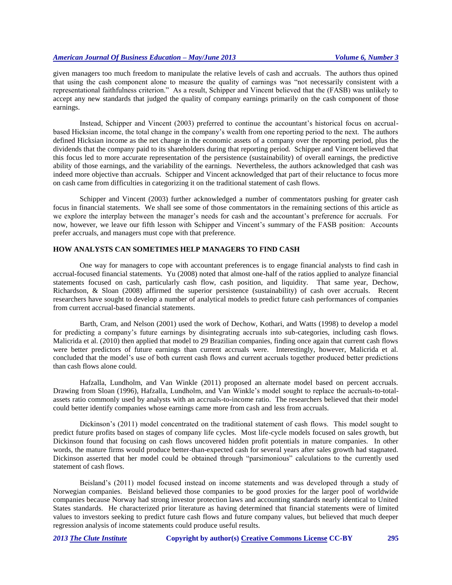given managers too much freedom to manipulate the relative levels of cash and accruals. The authors thus opined that using the cash component alone to measure the quality of earnings was "not necessarily consistent with a representational faithfulness criterion." As a result, Schipper and Vincent believed that the (FASB) was unlikely to accept any new standards that judged the quality of company earnings primarily on the cash component of those earnings.

Instead, Schipper and Vincent (2003) preferred to continue the accountant's historical focus on accrualbased Hicksian income, the total change in the company's wealth from one reporting period to the next. The authors defined Hicksian income as the net change in the economic assets of a company over the reporting period, plus the dividends that the company paid to its shareholders during that reporting period. Schipper and Vincent believed that this focus led to more accurate representation of the persistence (sustainability) of overall earnings, the predictive ability of those earnings, and the variability of the earnings. Nevertheless, the authors acknowledged that cash was indeed more objective than accruals. Schipper and Vincent acknowledged that part of their reluctance to focus more on cash came from difficulties in categorizing it on the traditional statement of cash flows.

Schipper and Vincent (2003) further acknowledged a number of commentators pushing for greater cash focus in financial statements. We shall see some of those commentators in the remaining sections of this article as we explore the interplay between the manager's needs for cash and the accountant's preference for accruals. For now, however, we leave our fifth lesson with Schipper and Vincent's summary of the FASB position: Accounts prefer accruals, and managers must cope with that preference.

#### **HOW ANALYSTS CAN SOMETIMES HELP MANAGERS TO FIND CASH**

One way for managers to cope with accountant preferences is to engage financial analysts to find cash in accrual-focused financial statements. Yu (2008) noted that almost one-half of the ratios applied to analyze financial statements focused on cash, particularly cash flow, cash position, and liquidity. That same year, Dechow, Richardson, & Sloan (2008) affirmed the superior persistence (sustainability) of cash over accruals. Recent researchers have sought to develop a number of analytical models to predict future cash performances of companies from current accrual-based financial statements.

Barth, Cram, and Nelson (2001) used the work of Dechow, Kothari, and Watts (1998) to develop a model for predicting a company's future earnings by disintegrating accruals into sub-categories, including cash flows. Malicrida et al. (2010) then applied that model to 29 Brazilian companies, finding once again that current cash flows were better predictors of future earnings than current accruals were. Interestingly, however, Malicrida et al. concluded that the model's use of both current cash flows and current accruals together produced better predictions than cash flows alone could.

Hafzalla, Lundholm, and Van Winkle (2011) proposed an alternate model based on percent accruals. Drawing from Sloan (1996), Hafzalla, Lundholm, and Van Winkle's model sought to replace the accruals-to-totalassets ratio commonly used by analysts with an accruals-to-income ratio. The researchers believed that their model could better identify companies whose earnings came more from cash and less from accruals.

Dickinson's (2011) model concentrated on the traditional statement of cash flows. This model sought to predict future profits based on stages of company life cycles. Most life-cycle models focused on sales growth, but Dickinson found that focusing on cash flows uncovered hidden profit potentials in mature companies. In other words, the mature firms would produce better-than-expected cash for several years after sales growth had stagnated. Dickinson asserted that her model could be obtained through "parsimonious" calculations to the currently used statement of cash flows.

Beisland's (2011) model focused instead on income statements and was developed through a study of Norwegian companies. Beisland believed those companies to be good proxies for the larger pool of worldwide companies because Norway had strong investor protection laws and accounting standards nearly identical to United States standards. He characterized prior literature as having determined that financial statements were of limited values to investors seeking to predict future cash flows and future company values, but believed that much deeper regression analysis of income statements could produce useful results.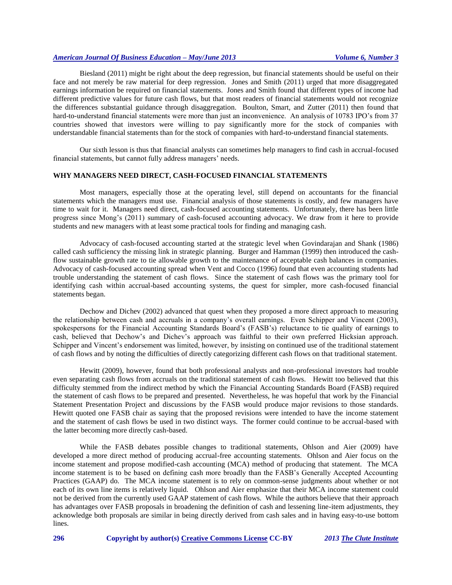Biesland (2011) might be right about the deep regression, but financial statements should be useful on their face and not merely be raw material for deep regression. Jones and Smith (2011) urged that more disaggregated earnings information be required on financial statements. Jones and Smith found that different types of income had different predictive values for future cash flows, but that most readers of financial statements would not recognize the differences substantial guidance through disaggregation. Boulton, Smart, and Zutter (2011) then found that hard-to-understand financial statements were more than just an inconvenience. An analysis of 10783 IPO's from 37 countries showed that investors were willing to pay significantly more for the stock of companies with understandable financial statements than for the stock of companies with hard-to-understand financial statements.

Our sixth lesson is thus that financial analysts can sometimes help managers to find cash in accrual-focused financial statements, but cannot fully address managers' needs.

#### **WHY MANAGERS NEED DIRECT, CASH-FOCUSED FINANCIAL STATEMENTS**

Most managers, especially those at the operating level, still depend on accountants for the financial statements which the managers must use. Financial analysis of those statements is costly, and few managers have time to wait for it. Managers need direct, cash-focused accounting statements. Unfortunately, there has been little progress since Mong's (2011) summary of cash-focused accounting advocacy. We draw from it here to provide students and new managers with at least some practical tools for finding and managing cash.

Advocacy of cash-focused accounting started at the strategic level when Govindarajan and Shank (1986) called cash sufficiency the missing link in strategic planning. Burger and Hamman (1999) then introduced the cashflow sustainable growth rate to tie allowable growth to the maintenance of acceptable cash balances in companies. Advocacy of cash-focused accounting spread when Vent and Cocco (1996) found that even accounting students had trouble understanding the statement of cash flows. Since the statement of cash flows was the primary tool for identifying cash within accrual-based accounting systems, the quest for simpler, more cash-focused financial statements began.

Dechow and Dichev (2002) advanced that quest when they proposed a more direct approach to measuring the relationship between cash and accruals in a company's overall earnings. Even Schipper and Vincent (2003), spokespersons for the Financial Accounting Standards Board's (FASB's) reluctance to tie quality of earnings to cash, believed that Dechow's and Dichev's approach was faithful to their own preferred Hicksian approach. Schipper and Vincent's endorsement was limited, however, by insisting on continued use of the traditional statement of cash flows and by noting the difficulties of directly categorizing different cash flows on that traditional statement.

Hewitt (2009), however, found that both professional analysts and non-professional investors had trouble even separating cash flows from accruals on the traditional statement of cash flows. Hewitt too believed that this difficulty stemmed from the indirect method by which the Financial Accounting Standards Board (FASB) required the statement of cash flows to be prepared and presented. Nevertheless, he was hopeful that work by the Financial Statement Presentation Project and discussions by the FASB would produce major revisions to those standards. Hewitt quoted one FASB chair as saying that the proposed revisions were intended to have the income statement and the statement of cash flows be used in two distinct ways. The former could continue to be accrual-based with the latter becoming more directly cash-based.

While the FASB debates possible changes to traditional statements, Ohlson and Aier (2009) have developed a more direct method of producing accrual-free accounting statements. Ohlson and Aier focus on the income statement and propose modified-cash accounting (MCA) method of producing that statement. The MCA income statement is to be based on defining cash more broadly than the FASB's Generally Accepted Accounting Practices (GAAP) do. The MCA income statement is to rely on common-sense judgments about whether or not each of its own line items is relatively liquid. Ohlson and Aier emphasize that their MCA income statement could not be derived from the currently used GAAP statement of cash flows. While the authors believe that their approach has advantages over FASB proposals in broadening the definition of cash and lessening line-item adjustments, they acknowledge both proposals are similar in being directly derived from cash sales and in having easy-to-use bottom lines.

**296 Copyright by author(s) [Creative Commons License](http://creativecommons.org/licenses/by/3.0/) CC-BY** *2013 [The Clute Institute](http://www.cluteinstitute.com/)*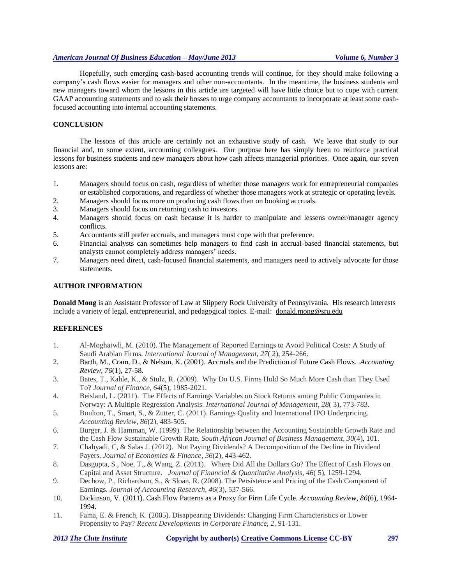Hopefully, such emerging cash-based accounting trends will continue, for they should make following a company's cash flows easier for managers and other non-accountants. In the meantime, the business students and new managers toward whom the lessons in this article are targeted will have little choice but to cope with current GAAP accounting statements and to ask their bosses to urge company accountants to incorporate at least some cashfocused accounting into internal accounting statements.

#### **CONCLUSION**

The lessons of this article are certainly not an exhaustive study of cash. We leave that study to our financial and, to some extent, accounting colleagues. Our purpose here has simply been to reinforce practical lessons for business students and new managers about how cash affects managerial priorities. Once again, our seven lessons are:

- 1. Managers should focus on cash, regardless of whether those managers work for entrepreneurial companies or established corporations, and regardless of whether those managers work at strategic or operating levels.
- 2. Managers should focus more on producing cash flows than on booking accruals.
- 3. Managers should focus on returning cash to investors.
- 4. Managers should focus on cash because it is harder to manipulate and lessens owner/manager agency conflicts.
- 5. Accountants still prefer accruals, and managers must cope with that preference.
- 6. Financial analysts can sometimes help managers to find cash in accrual-based financial statements, but analysts cannot completely address managers' needs.
- 7. Managers need direct, cash-focused financial statements, and managers need to actively advocate for those statements.

## **AUTHOR INFORMATION**

**Donald Mong** is an Assistant Professor of Law at Slippery Rock University of Pennsylvania. His research interests include a variety of legal, entrepreneurial, and pedagogical topics. E-mail: [donald.mong@sru.edu](mailto:donald.mong@sru.edu)

#### **REFERENCES**

- 1. Al-Moghaiwli, M. (2010). The Management of Reported Earnings to Avoid Political Costs: A Study of Saudi Arabian Firms. *International Journal of Management, 27*( 2), 254-266.
- 2. Barth, M., Cram, D., & Nelson, K. (2001). Accruals and the Prediction of Future Cash Flows. *Accounting Review, 76*(1), 27-58.
- 3. Bates, T., Kahle, K., & Stulz, R. (2009). Why Do U.S. Firms Hold So Much More Cash than They Used To? *Journal of Finance, 64*(5), 1985-2021.
- 4. Beisland, L. (2011). The Effects of Earnings Variables on Stock Returns among Public Companies in Norway: A Multiple Regression Analysis. *International Journal of Management, 28*( 3), 773-783.
- 5. Boulton, T., Smart, S., & Zutter, C. (2011). Earnings Quality and International IPO Underpricing. *Accounting Review, 86*(2), 483-505.
- 6. Burger, J. & Hamman, W. (1999). The Relationship between the Accounting Sustainable Growth Rate and the Cash Flow Sustainable Growth Rate. *South African Journal of Business Management, 30*(4), 101.
- 7. Chahyadi, C, & Salas J. (2012). Not Paying Dividends? A Decomposition of the Decline in Dividend Payers. *Journal of Economics & Finance, 36*(2), 443-462.
- 8. Dasgupta, S., Noe, T., & Wang, Z. (2011). Where Did All the Dollars Go? The Effect of Cash Flows on Capital and Asset Structure. *Journal of Financial & Quantitative Analysis, 46*( 5), 1259-1294.
- 9. Dechow, P., Richardson, S., & Sloan, R. (2008). The Persistence and Pricing of the Cash Component of Earnings. *Journal of Accounting Research, 46*(3), 537-566.
- 10. Dickinson, V. (2011). Cash Flow Patterns as a Proxy for Firm Life Cycle. *Accounting Review, 86*(6), 1964- 1994.
- 11. Fama, E. & French, K. (2005). Disappearing Dividends: Changing Firm Characteristics or Lower Propensity to Pay? *Recent Developments in Corporate Finance, 2*, 91-131.

|  | 2013 The Clute Institute |
|--|--------------------------|
|  |                          |